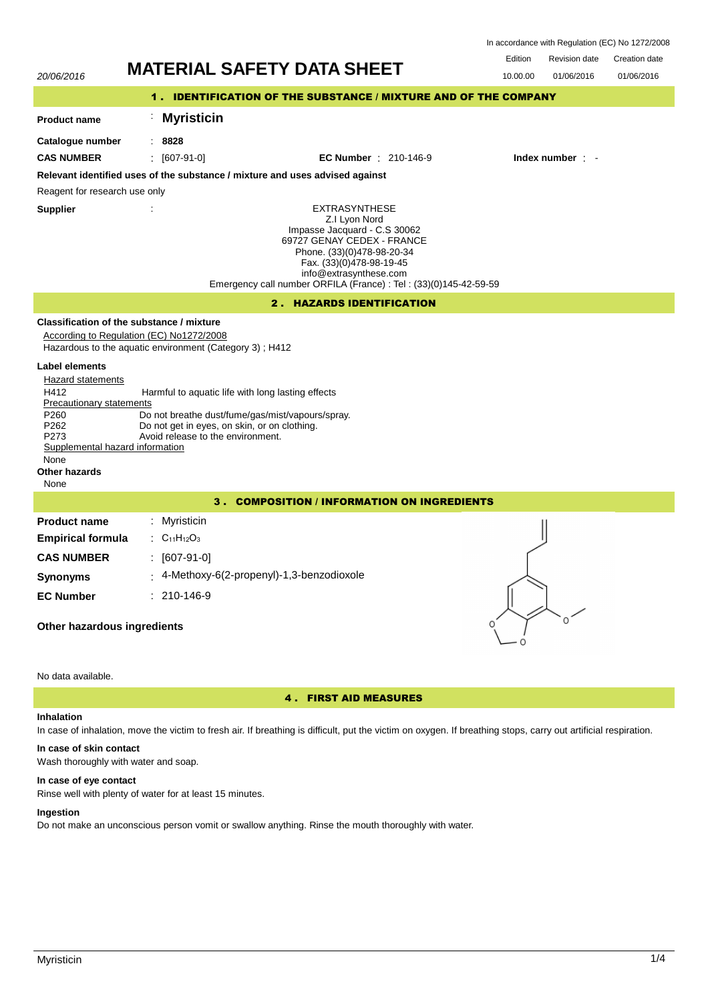| In accordance with Regulation (EC) No 1272/2008 |  |  |  |
|-------------------------------------------------|--|--|--|
|-------------------------------------------------|--|--|--|

Edition Revision date Creation date



# 4 . FIRST AID MEASURES

## **Inhalation**

In case of inhalation, move the victim to fresh air. If breathing is difficult, put the victim on oxygen. If breathing stops, carry out artificial respiration.

# **In case of skin contact**

Wash thoroughly with water and soap.

## **In case of eye contact**

Rinse well with plenty of water for at least 15 minutes.

## **Ingestion**

Do not make an unconscious person vomit or swallow anything. Rinse the mouth thoroughly with water.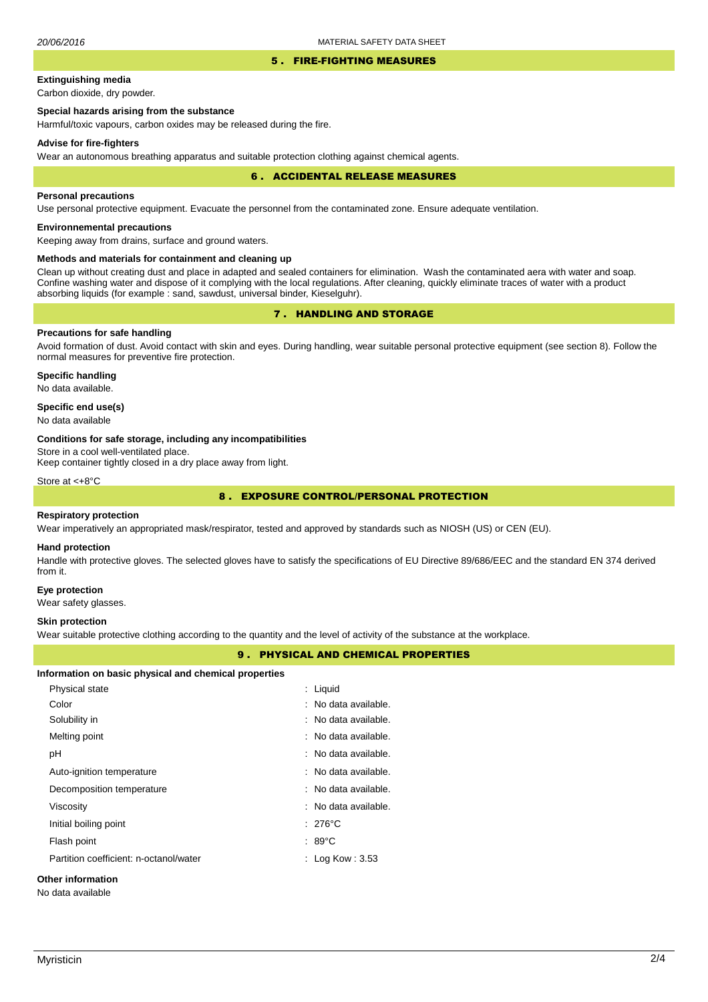#### 5 . FIRE-FIGHTING MEASURES

# **Extinguishing media**

Carbon dioxide, dry powder.

# **Special hazards arising from the substance**

Harmful/toxic vapours, carbon oxides may be released during the fire.

#### **Advise for fire-fighters**

Wear an autonomous breathing apparatus and suitable protection clothing against chemical agents.

#### 6 . ACCIDENTAL RELEASE MEASURES

## **Personal precautions**

Use personal protective equipment. Evacuate the personnel from the contaminated zone. Ensure adequate ventilation.

# **Environnemental precautions**

Keeping away from drains, surface and ground waters.

## **Methods and materials for containment and cleaning up**

Clean up without creating dust and place in adapted and sealed containers for elimination. Wash the contaminated aera with water and soap. Confine washing water and dispose of it complying with the local regulations. After cleaning, quickly eliminate traces of water with a product absorbing liquids (for example : sand, sawdust, universal binder, Kieselguhr).

# 7 . HANDLING AND STORAGE

# **Precautions for safe handling**

Avoid formation of dust. Avoid contact with skin and eyes. During handling, wear suitable personal protective equipment (see section 8). Follow the normal measures for preventive fire protection.

**Specific handling** No data available.

## **Specific end use(s)**

No data available

#### **Conditions for safe storage, including any incompatibilities**

Store in a cool well-ventilated place.

Keep container tightly closed in a dry place away from light.

Store at <+8°C

# 8 . EXPOSURE CONTROL/PERSONAL PROTECTION

#### **Respiratory protection**

Wear imperatively an appropriated mask/respirator, tested and approved by standards such as NIOSH (US) or CEN (EU).

#### **Hand protection**

Handle with protective gloves. The selected gloves have to satisfy the specifications of EU Directive 89/686/EEC and the standard EN 374 derived from it.

#### **Eye protection**

Wear safety glasses.

#### **Skin protection**

Wear suitable protective clothing according to the quantity and the level of activity of the substance at the workplace.

# 9 . PHYSICAL AND CHEMICAL PROPERTIES

#### **Information on basic physical and chemical properties**

| Physical state                         | : Liquid             |
|----------------------------------------|----------------------|
| Color                                  | : No data available. |
| Solubility in                          | : No data available. |
| Melting point                          | : No data available. |
| рH                                     | : No data available. |
| Auto-ignition temperature              | : No data available. |
| Decomposition temperature              | : No data available. |
| Viscosity                              | : No data available. |
| Initial boiling point                  | $: 276^{\circ}$ C    |
| Flash point                            | $:89^{\circ}$ C      |
| Partition coefficient: n-octanol/water | : Log Kow : $3.53$   |
|                                        |                      |

# **Other information**

No data available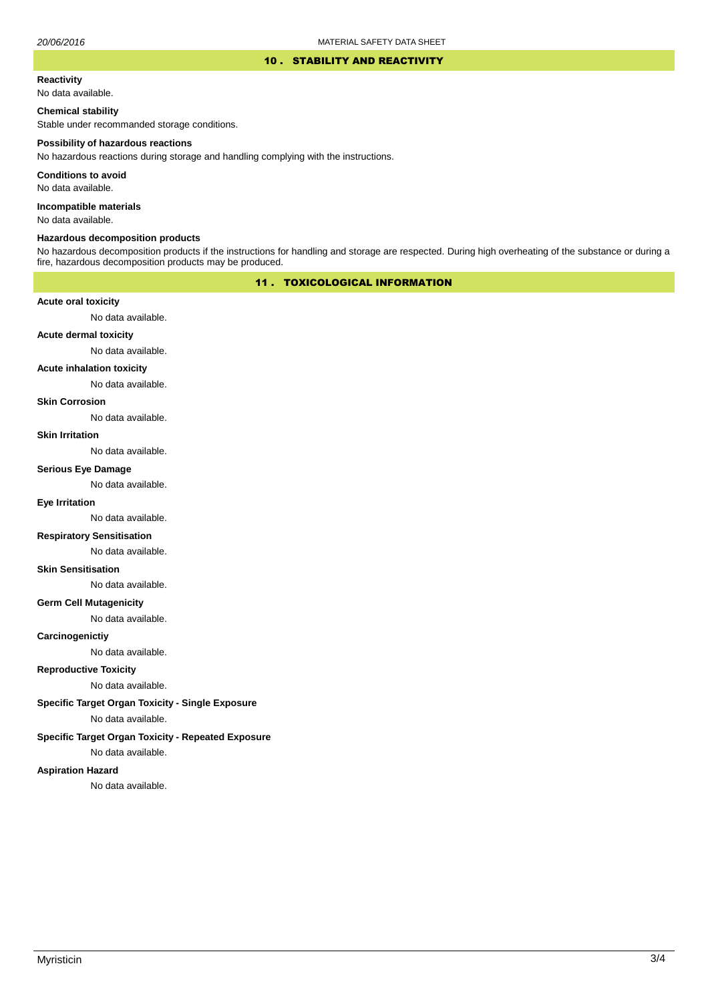## 10 . STABILITY AND REACTIVITY

#### **Reactivity**

No data available.

## **Chemical stability**

Stable under recommanded storage conditions.

#### **Possibility of hazardous reactions**

No hazardous reactions during storage and handling complying with the instructions.

**Conditions to avoid**

No data available.

**Incompatible materials**

No data available.

#### **Hazardous decomposition products**

No hazardous decomposition products if the instructions for handling and storage are respected. During high overheating of the substance or during a fire, hazardous decomposition products may be produced.

# 11 . TOXICOLOGICAL INFORMATION

## **Acute oral toxicity**

No data available.

# **Acute dermal toxicity**

No data available.

## **Acute inhalation toxicity**

No data available.

# **Skin Corrosion**

No data available.

#### **Skin Irritation**

No data available.

# **Serious Eye Damage**

No data available.

# **Eye Irritation**

No data available.

## **Respiratory Sensitisation**

No data available.

## **Skin Sensitisation**

No data available.

# **Germ Cell Mutagenicity**

No data available.

## **Carcinogenictiy**

No data available.

# **Reproductive Toxicity**

No data available.

# **Specific Target Organ Toxicity - Single Exposure**

No data available.

# **Specific Target Organ Toxicity - Repeated Exposure**

No data available.

## **Aspiration Hazard**

No data available.